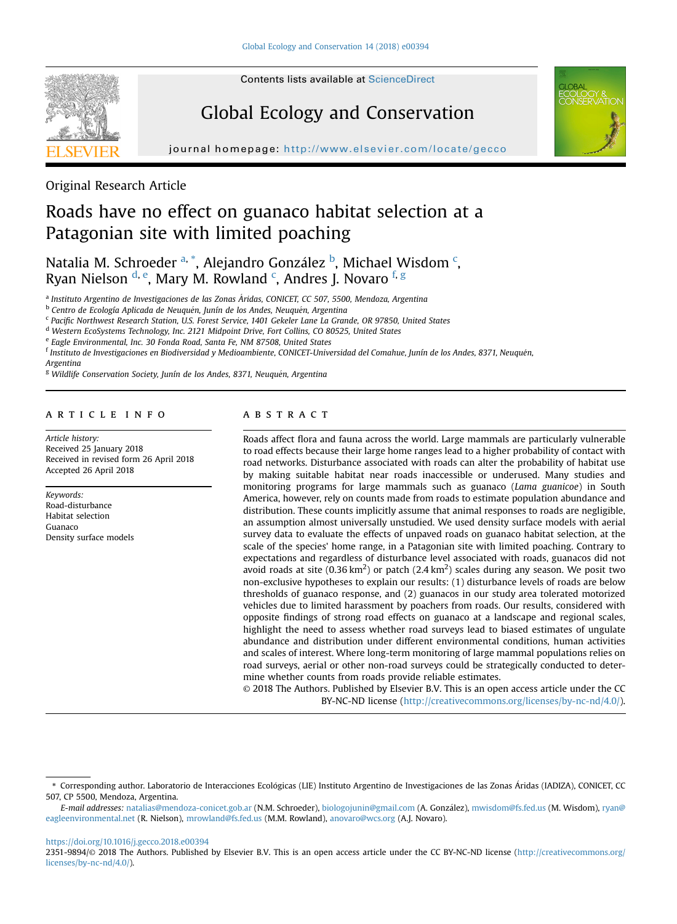

# Global Ecology and Conservation



journal homepage: http://www.elsevier.com/locate/gecom/locate/gecom/locate/gecom/locate/gecom/locate/gecom/locate/gec

# Original Research Article

# Roads have no effect on guanaco habitat selection at a Patagonian site with limited poaching

Natalia M. Schroeder <sup>a, \*</sup>, Alejandro González <sup>b</sup>, Michael Wisdom <sup>c</sup>, Ryan Nielson <sup>d, e</sup>, Mary M. Rowland <sup>c</sup>, Andres J. Novaro <sup>f, g</sup>

<sup>a</sup> Instituto Argentino de Investigaciones de las Zonas Áridas, CONICET, CC 507, 5500, Mendoza, Argentina

<sup>b</sup> Centro de Ecología Aplicada de Neuquén, Junín de los Andes, Neuquén, Argentina

<sup>c</sup> Pacific Northwest Research Station, U.S. Forest Service, 1401 Gekeler Lane La Grande, OR 97850, United States

<sup>d</sup> Western EcoSystems Technology, Inc. 2121 Midpoint Drive, Fort Collins, CO 80525, United States

<sup>e</sup> Eagle Environmental, Inc. 30 Fonda Road, Santa Fe, NM 87508, United States

<sup>f</sup> Instituto de Investigaciones en Biodiversidad y Medioambiente, CONICET-Universidad del Comahue, Junín de los Andes, 8371, Neuquen,

Argentina

<sup>g</sup> Wildlife Conservation Society, Junín de los Andes, 8371, Neuquén, Argentina

#### article info

Article history: Received 25 January 2018 Received in revised form 26 April 2018 Accepted 26 April 2018

Keywords: Road-disturbance Habitat selection Guanaco Density surface models

#### **ABSTRACT**

Roads affect flora and fauna across the world. Large mammals are particularly vulnerable to road effects because their large home ranges lead to a higher probability of contact with road networks. Disturbance associated with roads can alter the probability of habitat use by making suitable habitat near roads inaccessible or underused. Many studies and monitoring programs for large mammals such as guanaco (Lama guanicoe) in South America, however, rely on counts made from roads to estimate population abundance and distribution. These counts implicitly assume that animal responses to roads are negligible, an assumption almost universally unstudied. We used density surface models with aerial survey data to evaluate the effects of unpaved roads on guanaco habitat selection, at the scale of the species' home range, in a Patagonian site with limited poaching. Contrary to expectations and regardless of disturbance level associated with roads, guanacos did not avoid roads at site (0.36 km<sup>2</sup>) or patch (2.4 km<sup>2</sup>) scales during any season. We posit two non-exclusive hypotheses to explain our results: (1) disturbance levels of roads are below thresholds of guanaco response, and (2) guanacos in our study area tolerated motorized vehicles due to limited harassment by poachers from roads. Our results, considered with opposite findings of strong road effects on guanaco at a landscape and regional scales, highlight the need to assess whether road surveys lead to biased estimates of ungulate abundance and distribution under different environmental conditions, human activities and scales of interest. Where long-term monitoring of large mammal populations relies on road surveys, aerial or other non-road surveys could be strategically conducted to determine whether counts from roads provide reliable estimates.

© 2018 The Authors. Published by Elsevier B.V. This is an open access article under the CC BY-NC-ND license ([http://creativecommons.org/licenses/by-nc-nd/4.0/\)](http://creativecommons.org/licenses/by-nc-nd/4.0/).

<https://doi.org/10.1016/j.gecco.2018.e00394>

2351-9894/© 2018 The Authors. Published by Elsevier B.V. This is an open access article under the CC BY-NC-ND license [\(http://creativecommons.org/](http://creativecommons.org/licenses/by-nc-nd/4.0/) [licenses/by-nc-nd/4.0/](http://creativecommons.org/licenses/by-nc-nd/4.0/)).

<sup>\*</sup> Corresponding author. Laboratorio de Interacciones Ecologicas (LIE) Instituto Argentino de Investigaciones de las Zonas Aridas (IADIZA), CONICET, CC 507, CP 5500, Mendoza, Argentina.

E-mail addresses: [natalias@mendoza-conicet.gob.ar](mailto:natalias@mendoza-conicet.gob.ar) (N.M. Schroeder), [biologojunin@gmail.com](mailto:biologojunin@gmail.com) (A. Gonzalez), [mwisdom@fs.fed.us](mailto:mwisdom@fs.fed.us) (M. Wisdom), [ryan@](mailto:ryan@eagleenvironmental.net) [eagleenvironmental.net](mailto:ryan@eagleenvironmental.net) (R. Nielson), [mrowland@fs.fed.us](mailto:mrowland@fs.fed.us) (M.M. Rowland), [anovaro@wcs.org](mailto:anovaro@wcs.org) (A.J. Novaro).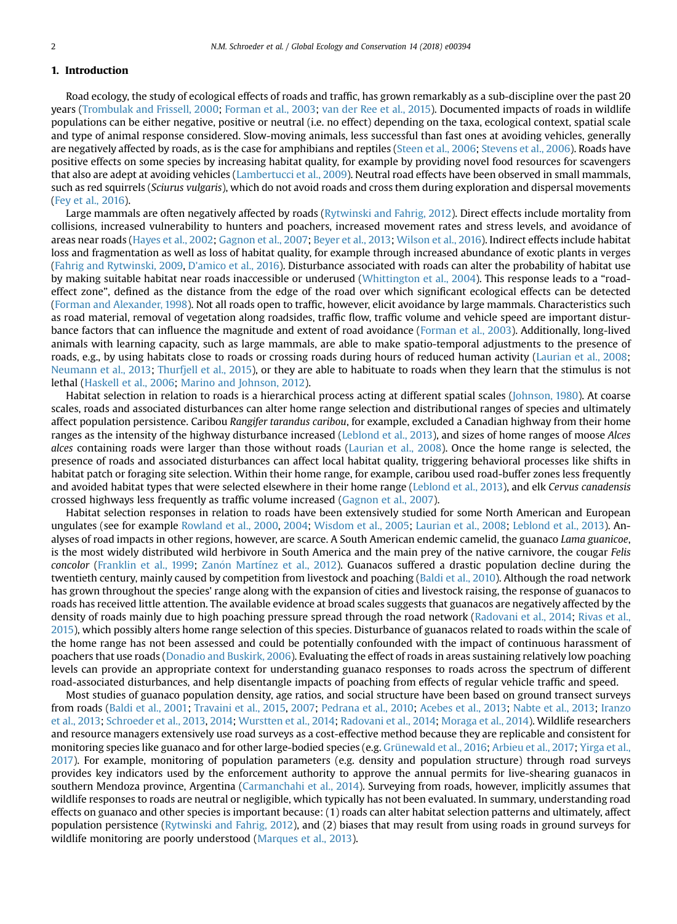# 1. Introduction

Road ecology, the study of ecological effects of roads and traffic, has grown remarkably as a sub-discipline over the past 20 years [\(Trombulak and Frissell, 2000;](#page-9-0) [Forman et al., 2003;](#page-8-0) [van der Ree et al., 2015\)](#page-9-0). Documented impacts of roads in wildlife populations can be either negative, positive or neutral (i.e. no effect) depending on the taxa, ecological context, spatial scale and type of animal response considered. Slow-moving animals, less successful than fast ones at avoiding vehicles, generally are negatively affected by roads, as is the case for amphibians and reptiles [\(Steen et al., 2006;](#page-9-0) [Stevens et al., 2006\)](#page-9-0). Roads have positive effects on some species by increasing habitat quality, for example by providing novel food resources for scavengers that also are adept at avoiding vehicles [\(Lambertucci et al., 2009](#page-9-0)). Neutral road effects have been observed in small mammals, such as red squirrels (Sciurus vulgaris), which do not avoid roads and cross them during exploration and dispersal movements [\(Fey et al., 2016](#page-8-0)).

Large mammals are often negatively affected by roads [\(Rytwinski and Fahrig, 2012](#page-9-0)). Direct effects include mortality from collisions, increased vulnerability to hunters and poachers, increased movement rates and stress levels, and avoidance of areas near roads ([Hayes et al., 2002;](#page-8-0) [Gagnon et al., 2007;](#page-8-0) [Beyer et al., 2013;](#page-8-0) [Wilson et al., 2016](#page-9-0)). Indirect effects include habitat loss and fragmentation as well as loss of habitat quality, for example through increased abundance of exotic plants in verges [\(Fahrig and Rytwinski, 2009](#page-8-0), [D'amico et al., 2016\)](#page-8-0). Disturbance associated with roads can alter the probability of habitat use by making suitable habitat near roads inaccessible or underused [\(Whittington et al., 2004\)](#page-9-0). This response leads to a "roadeffect zone", defined as the distance from the edge of the road over which significant ecological effects can be detected [\(Forman and Alexander, 1998\)](#page-8-0). Not all roads open to traffic, however, elicit avoidance by large mammals. Characteristics such as road material, removal of vegetation along roadsides, traffic flow, traffic volume and vehicle speed are important disturbance factors that can influence the magnitude and extent of road avoidance [\(Forman et al., 2003\)](#page-8-0). Additionally, long-lived animals with learning capacity, such as large mammals, are able to make spatio-temporal adjustments to the presence of roads, e.g., by using habitats close to roads or crossing roads during hours of reduced human activity [\(Laurian et al., 2008;](#page-9-0) [Neumann et al., 2013;](#page-9-0) [Thurfjell et al., 2015\)](#page-9-0), or they are able to habituate to roads when they learn that the stimulus is not lethal ([Haskell et al., 2006](#page-8-0); [Marino and Johnson, 2012](#page-9-0)).

Habitat selection in relation to roads is a hierarchical process acting at different spatial scales [\(Johnson, 1980](#page-8-0)). At coarse scales, roads and associated disturbances can alter home range selection and distributional ranges of species and ultimately affect population persistence. Caribou Rangifer tarandus caribou, for example, excluded a Canadian highway from their home ranges as the intensity of the highway disturbance increased [\(Leblond et al., 2013](#page-9-0)), and sizes of home ranges of moose Alces alces containing roads were larger than those without roads ([Laurian et al., 2008](#page-9-0)). Once the home range is selected, the presence of roads and associated disturbances can affect local habitat quality, triggering behavioral processes like shifts in habitat patch or foraging site selection. Within their home range, for example, caribou used road-buffer zones less frequently and avoided habitat types that were selected elsewhere in their home range [\(Leblond et al., 2013\)](#page-9-0), and elk Cervus canadensis crossed highways less frequently as traffic volume increased [\(Gagnon et al., 2007\)](#page-8-0).

Habitat selection responses in relation to roads have been extensively studied for some North American and European ungulates (see for example [Rowland et al., 2000,](#page-9-0) [2004;](#page-9-0) [Wisdom et al., 2005](#page-9-0); [Laurian et al., 2008](#page-9-0); [Leblond et al., 2013](#page-9-0)). Analyses of road impacts in other regions, however, are scarce. A South American endemic camelid, the guanaco Lama guanicoe, is the most widely distributed wild herbivore in South America and the main prey of the native carnivore, the cougar Felis concolor ([Franklin et al., 1999](#page-8-0); Zanón Martínez et al., 2012). Guanacos suffered a drastic population decline during the twentieth century, mainly caused by competition from livestock and poaching ([Baldi et al., 2010](#page-8-0)). Although the road network has grown throughout the species' range along with the expansion of cities and livestock raising, the response of guanacos to roads has received little attention. The available evidence at broad scales suggests that guanacos are negatively affected by the density of roads mainly due to high poaching pressure spread through the road network [\(Radovani et al., 2014;](#page-9-0) [Rivas et al.,](#page-9-0) [2015](#page-9-0)), which possibly alters home range selection of this species. Disturbance of guanacos related to roads within the scale of the home range has not been assessed and could be potentially confounded with the impact of continuous harassment of poachers that use roads ([Donadio and Buskirk, 2006\)](#page-8-0). Evaluating the effect of roads in areas sustaining relatively low poaching levels can provide an appropriate context for understanding guanaco responses to roads across the spectrum of different road-associated disturbances, and help disentangle impacts of poaching from effects of regular vehicle traffic and speed.

Most studies of guanaco population density, age ratios, and social structure have been based on ground transect surveys from roads ([Baldi et al., 2001](#page-8-0); [Travaini et al., 2015,](#page-9-0) [2007](#page-9-0); [Pedrana et al., 2010;](#page-9-0) [Acebes et al., 2013;](#page-8-0) [Nabte et al., 2013](#page-9-0); [Iranzo](#page-8-0) [et al., 2013;](#page-8-0) [Schroeder et al., 2013](#page-9-0), [2014](#page-9-0); [Wurstten et al., 2014](#page-10-0); [Radovani et al., 2014](#page-9-0); [Moraga et al., 2014](#page-9-0)). Wildlife researchers and resource managers extensively use road surveys as a cost-effective method because they are replicable and consistent for monitoring species like guanaco and for other large-bodied species (e.g. [Grünewald et al., 2016](#page-8-0); [Arbieu et al., 2017](#page-8-0); [Yirga et al.,](#page-10-0) [2017](#page-10-0)). For example, monitoring of population parameters (e.g. density and population structure) through road surveys provides key indicators used by the enforcement authority to approve the annual permits for live-shearing guanacos in southern Mendoza province, Argentina [\(Carmanchahi et al., 2014\)](#page-8-0). Surveying from roads, however, implicitly assumes that wildlife responses to roads are neutral or negligible, which typically has not been evaluated. In summary, understanding road effects on guanaco and other species is important because: (1) roads can alter habitat selection patterns and ultimately, affect population persistence ([Rytwinski and Fahrig, 2012\)](#page-9-0), and (2) biases that may result from using roads in ground surveys for wildlife monitoring are poorly understood [\(Marques et al., 2013](#page-9-0)).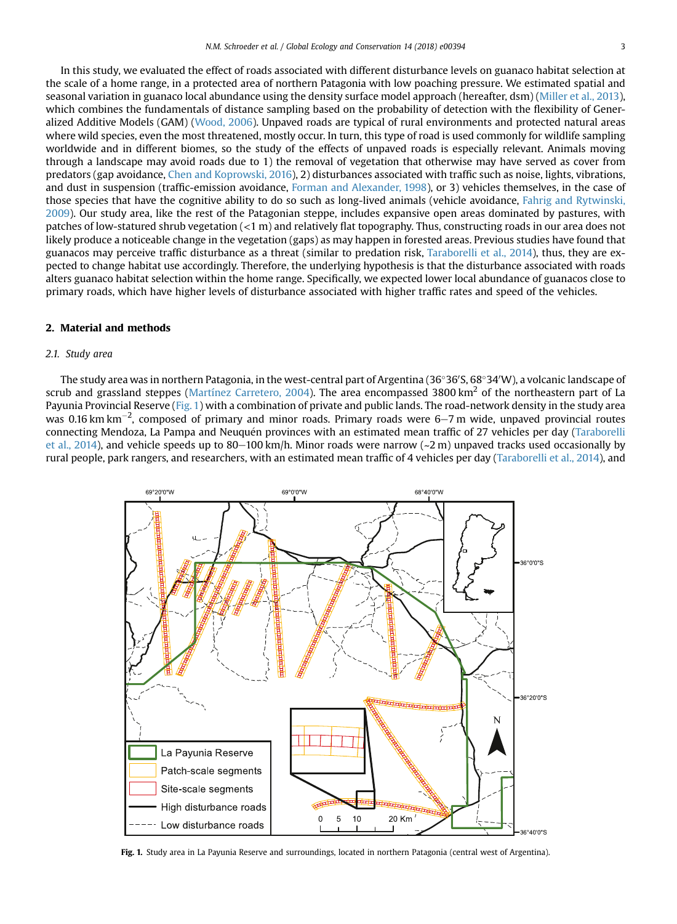<span id="page-2-0"></span>In this study, we evaluated the effect of roads associated with different disturbance levels on guanaco habitat selection at the scale of a home range, in a protected area of northern Patagonia with low poaching pressure. We estimated spatial and seasonal variation in guanaco local abundance using the density surface model approach (hereafter, dsm) [\(Miller et al., 2013](#page-9-0)), which combines the fundamentals of distance sampling based on the probability of detection with the flexibility of Generalized Additive Models (GAM) ([Wood, 2006](#page-10-0)). Unpaved roads are typical of rural environments and protected natural areas where wild species, even the most threatened, mostly occur. In turn, this type of road is used commonly for wildlife sampling worldwide and in different biomes, so the study of the effects of unpaved roads is especially relevant. Animals moving through a landscape may avoid roads due to 1) the removal of vegetation that otherwise may have served as cover from predators (gap avoidance, [Chen and Koprowski, 2016\)](#page-8-0), 2) disturbances associated with traffic such as noise, lights, vibrations, and dust in suspension (traffic-emission avoidance, [Forman and Alexander, 1998](#page-8-0)), or 3) vehicles themselves, in the case of those species that have the cognitive ability to do so such as long-lived animals (vehicle avoidance, [Fahrig and Rytwinski,](#page-8-0) [2009](#page-8-0)). Our study area, like the rest of the Patagonian steppe, includes expansive open areas dominated by pastures, with patches of low-statured shrub vegetation (<1 m) and relatively flat topography. Thus, constructing roads in our area does not likely produce a noticeable change in the vegetation (gaps) as may happen in forested areas. Previous studies have found that guanacos may perceive traffic disturbance as a threat (similar to predation risk, [Taraborelli et al., 2014](#page-9-0)), thus, they are expected to change habitat use accordingly. Therefore, the underlying hypothesis is that the disturbance associated with roads alters guanaco habitat selection within the home range. Specifically, we expected lower local abundance of guanacos close to primary roads, which have higher levels of disturbance associated with higher traffic rates and speed of the vehicles.

# 2. Material and methods

# 2.1. Study area

The study area was in northern Patagonia, in the west-central part of Argentina (36°36′S, 68°34′W), a volcanic landscape of scrub and grassland steppes ([Martínez Carretero, 2004\)](#page-9-0). The area encompassed 3800 km<sup>2</sup> of the northeastern part of La Payunia Provincial Reserve (Fig. 1) with a combination of private and public lands. The road-network density in the study area was 0.16 km km<sup>-2</sup>, composed of primary and minor roads. Primary roads were 6–7 m wide, unpaved provincial routes connecting Mendoza, La Pampa and Neuquén provinces with an estimated mean traffic of 27 vehicles per day [\(Taraborelli](#page-9-0) [et al., 2014\)](#page-9-0), and vehicle speeds up to 80–100 km/h. Minor roads were narrow ( $\sim$ 2 m) unpaved tracks used occasionally by rural people, park rangers, and researchers, with an estimated mean traffic of 4 vehicles per day ([Taraborelli et al., 2014](#page-9-0)), and



Fig. 1. Study area in La Payunia Reserve and surroundings, located in northern Patagonia (central west of Argentina).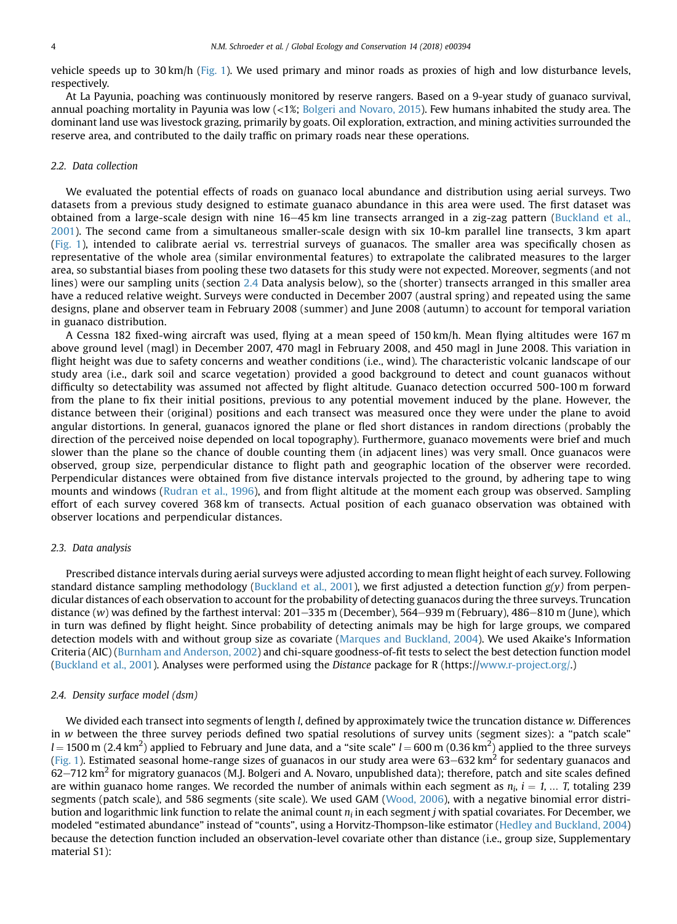<span id="page-3-0"></span>vehicle speeds up to 30 km/h ([Fig. 1\)](#page-2-0). We used primary and minor roads as proxies of high and low disturbance levels, respectively.

At La Payunia, poaching was continuously monitored by reserve rangers. Based on a 9-year study of guanaco survival, annual poaching mortality in Payunia was low (<1%; [Bolgeri and Novaro, 2015\)](#page-8-0). Few humans inhabited the study area. The dominant land use was livestock grazing, primarily by goats. Oil exploration, extraction, and mining activities surrounded the reserve area, and contributed to the daily traffic on primary roads near these operations.

#### 2.2. Data collection

We evaluated the potential effects of roads on guanaco local abundance and distribution using aerial surveys. Two datasets from a previous study designed to estimate guanaco abundance in this area were used. The first dataset was obtained from a large-scale design with nine  $16-45$  km line transects arranged in a zig-zag pattern ([Buckland et al.,](#page-8-0) [2001](#page-8-0)). The second came from a simultaneous smaller-scale design with six 10-km parallel line transects, 3 km apart [\(Fig. 1\)](#page-2-0), intended to calibrate aerial vs. terrestrial surveys of guanacos. The smaller area was specifically chosen as representative of the whole area (similar environmental features) to extrapolate the calibrated measures to the larger area, so substantial biases from pooling these two datasets for this study were not expected. Moreover, segments (and not lines) were our sampling units (section 2.4 Data analysis below), so the (shorter) transects arranged in this smaller area have a reduced relative weight. Surveys were conducted in December 2007 (austral spring) and repeated using the same designs, plane and observer team in February 2008 (summer) and June 2008 (autumn) to account for temporal variation in guanaco distribution.

A Cessna 182 fixed-wing aircraft was used, flying at a mean speed of 150 km/h. Mean flying altitudes were 167 m above ground level (magl) in December 2007, 470 magl in February 2008, and 450 magl in June 2008. This variation in flight height was due to safety concerns and weather conditions (i.e., wind). The characteristic volcanic landscape of our study area (i.e., dark soil and scarce vegetation) provided a good background to detect and count guanacos without difficulty so detectability was assumed not affected by flight altitude. Guanaco detection occurred 500-100 m forward from the plane to fix their initial positions, previous to any potential movement induced by the plane. However, the distance between their (original) positions and each transect was measured once they were under the plane to avoid angular distortions. In general, guanacos ignored the plane or fled short distances in random directions (probably the direction of the perceived noise depended on local topography). Furthermore, guanaco movements were brief and much slower than the plane so the chance of double counting them (in adjacent lines) was very small. Once guanacos were observed, group size, perpendicular distance to flight path and geographic location of the observer were recorded. Perpendicular distances were obtained from five distance intervals projected to the ground, by adhering tape to wing mounts and windows ([Rudran et al., 1996](#page-9-0)), and from flight altitude at the moment each group was observed. Sampling effort of each survey covered 368 km of transects. Actual position of each guanaco observation was obtained with observer locations and perpendicular distances.

#### 2.3. Data analysis

Prescribed distance intervals during aerial surveys were adjusted according to mean flight height of each survey. Following standard distance sampling methodology ([Buckland et al., 2001](#page-8-0)), we first adjusted a detection function  $g(y)$  from perpendicular distances of each observation to account for the probability of detecting guanacos during the three surveys. Truncation distance (w) was defined by the farthest interval:  $201-335$  m (December),  $564-939$  m (February),  $486-810$  m (June), which in turn was defined by flight height. Since probability of detecting animals may be high for large groups, we compared detection models with and without group size as covariate [\(Marques and Buckland, 2004\)](#page-9-0). We used Akaike's Information Criteria (AIC) ([Burnham and Anderson, 2002\)](#page-8-0) and chi-square goodness-of-fit tests to select the best detection function model [\(Buckland et al., 2001](#page-8-0)). Analyses were performed using the Distance package for R (https://[www.r-project.org/.](http://www.r-project.org/))

#### 2.4. Density surface model (dsm)

We divided each transect into segments of length *l*, defined by approximately twice the truncation distance w. Differences in w between the three survey periods defined two spatial resolutions of survey units (segment sizes): a "patch scale"  $l = 1500$  m (2.4 km<sup>2</sup>) applied to February and June data, and a "site scale"  $l = 600$  m (0.36 km<sup>2</sup>) applied to the three surveys [\(Fig. 1\)](#page-2-0). Estimated seasonal home-range sizes of guanacos in our study area were  $63-632$  km<sup>2</sup> for sedentary guanacos and  $62-712$  km<sup>2</sup> for migratory guanacos (M.J. Bolgeri and A. Novaro, unpublished data); therefore, patch and site scales defined are within guanaco home ranges. We recorded the number of animals within each segment as  $n_i$ ,  $i = 1, ...$  T, totaling 239 segments (patch scale), and 586 segments (site scale). We used GAM [\(Wood, 2006\)](#page-10-0), with a negative binomial error distribution and logarithmic link function to relate the animal count  $n_i$  in each segment j with spatial covariates. For December, we modeled "estimated abundance" instead of "counts", using a Horvitz-Thompson-like estimator ([Hedley and Buckland, 2004](#page-8-0)) because the detection function included an observation-level covariate other than distance (i.e., group size, Supplementary material S1):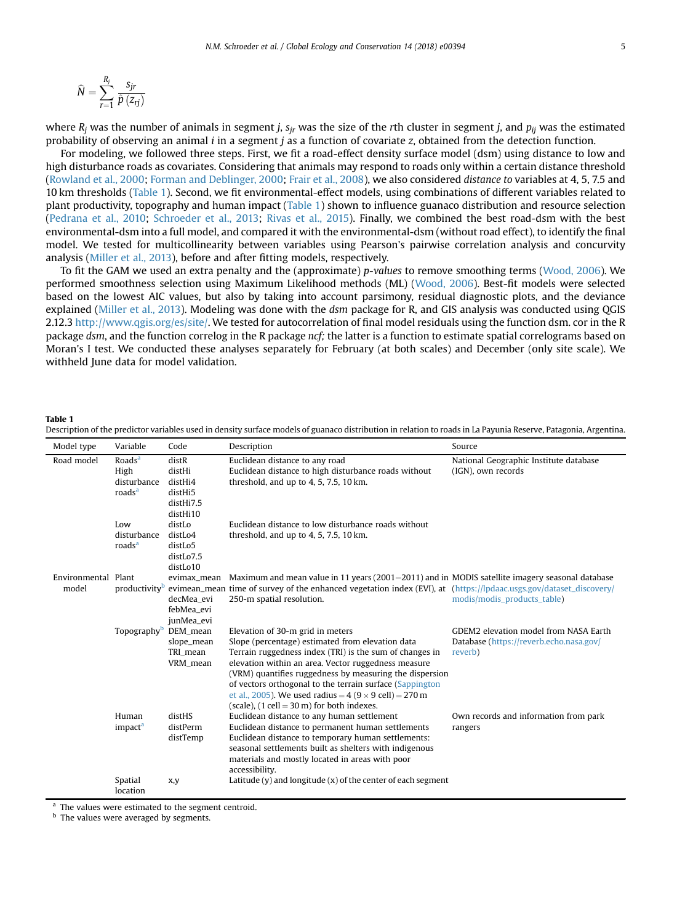<span id="page-4-0"></span>
$$
\widehat{N} = \sum_{r=1}^{R_j} \frac{s_{jr}}{\widehat{p}(z_{rj})}
$$

where  $R_i$  was the number of animals in segment j,  $s_{ir}$  was the size of the rth cluster in segment j, and  $p_{ii}$  was the estimated probability of observing an animal  $i$  in a segment  $j$  as a function of covariate  $z$ , obtained from the detection function.

For modeling, we followed three steps. First, we fit a road-effect density surface model (dsm) using distance to low and high disturbance roads as covariates. Considering that animals may respond to roads only within a certain distance threshold ([Rowland et al., 2000](#page-9-0); [Forman and Deblinger, 2000;](#page-8-0) [Frair et al., 2008\)](#page-8-0), we also considered distance to variables at 4, 5, 7.5 and 10 km thresholds (Table 1). Second, we fit environmental-effect models, using combinations of different variables related to plant productivity, topography and human impact (Table 1) shown to influence guanaco distribution and resource selection ([Pedrana et al., 2010](#page-9-0); [Schroeder et al., 2013](#page-9-0); [Rivas et al., 2015\)](#page-9-0). Finally, we combined the best road-dsm with the best environmental-dsm into a full model, and compared it with the environmental-dsm (without road effect), to identify the final model. We tested for multicollinearity between variables using Pearson's pairwise correlation analysis and concurvity analysis [\(Miller et al., 2013](#page-9-0)), before and after fitting models, respectively.

To fit the GAM we used an extra penalty and the (approximate) p-values to remove smoothing terms ([Wood, 2006](#page-10-0)). We performed smoothness selection using Maximum Likelihood methods (ML) ([Wood, 2006\)](#page-10-0). Best-fit models were selected based on the lowest AIC values, but also by taking into account parsimony, residual diagnostic plots, and the deviance explained [\(Miller et al., 2013](#page-9-0)). Modeling was done with the dsm package for R, and GIS analysis was conducted using OGIS 2.12.3 <http://www.qgis.org/es/site/>. We tested for autocorrelation of final model residuals using the function dsm. cor in the R package dsm, and the function correlog in the R package ncf; the latter is a function to estimate spatial correlograms based on Moran's I test. We conducted these analyses separately for February (at both scales) and December (only site scale). We withheld June data for model validation.

#### Table 1

| Model type                   | Variable                                                        | Code                                                           | Description                                                                                                                                                                                                                                                                                                                                                                                                                                   | Source                                                                                      |
|------------------------------|-----------------------------------------------------------------|----------------------------------------------------------------|-----------------------------------------------------------------------------------------------------------------------------------------------------------------------------------------------------------------------------------------------------------------------------------------------------------------------------------------------------------------------------------------------------------------------------------------------|---------------------------------------------------------------------------------------------|
| Road model                   | Roads <sup>a</sup><br>High<br>disturbance<br>roads <sup>a</sup> | distR<br>distHi<br>distHi4<br>distHi5<br>distHi7.5<br>distHi10 | Euclidean distance to any road<br>Euclidean distance to high disturbance roads without<br>threshold, and up to $4, 5, 7.5, 10$ km.                                                                                                                                                                                                                                                                                                            | National Geographic Institute database<br>(IGN), own records                                |
|                              | Low<br>disturbance<br>roads <sup>a</sup>                        | distLo<br>distLo4<br>distLo5<br>distLo7.5<br>distLo10          | Euclidean distance to low disturbance roads without<br>threshold, and up to $4, 5, 7.5, 10$ km.                                                                                                                                                                                                                                                                                                                                               |                                                                                             |
| Environmental Plant<br>model |                                                                 | evimax mean<br>decMea evi<br>febMea_evi<br>junMea_evi          | Maximum and mean value in 11 years ( $2001-2011$ ) and in MODIS satellite imagery seasonal database<br>productivity <sup>b</sup> evimean_mean_time of survey of the enhanced vegetation index (EVI), at (https://lpdaac.usgs.gov/dataset_discovery/<br>250-m spatial resolution.                                                                                                                                                              | modis/modis_products_table)                                                                 |
|                              | Topography <sup>b</sup>                                         | DEM_mean<br>slope_mean<br>TRI mean<br>VRM_mean                 | Elevation of 30-m grid in meters<br>Slope (percentage) estimated from elevation data<br>Terrain ruggedness index (TRI) is the sum of changes in<br>elevation within an area. Vector ruggedness measure<br>(VRM) quantifies ruggedness by measuring the dispersion<br>of vectors orthogonal to the terrain surface (Sappington<br>et al., 2005). We used radius = $4(9 \times 9$ cell) = 270 m<br>(scale), $(1$ cell = 30 m) for both indexes. | GDEM2 elevation model from NASA Earth<br>Database (https://reverb.echo.nasa.gov/<br>reverb) |
|                              | Human<br>impact <sup>a</sup>                                    | distHS<br>distPerm<br>distTemp                                 | Euclidean distance to any human settlement<br>Euclidean distance to permanent human settlements<br>Euclidean distance to temporary human settlements:<br>seasonal settlements built as shelters with indigenous<br>materials and mostly located in areas with poor<br>accessibility.                                                                                                                                                          | Own records and information from park<br>rangers                                            |
|                              | Spatial<br>location                                             | x,y                                                            | Latitude $(y)$ and longitude $(x)$ of the center of each segment                                                                                                                                                                                                                                                                                                                                                                              |                                                                                             |

Description of the predictor variables used in density surface models of guanaco distribution in relation to roads in La Payunia Reserve, Patagonia, Argentina.

<sup>a</sup> The values were estimated to the segment centroid.

**b** The values were averaged by segments.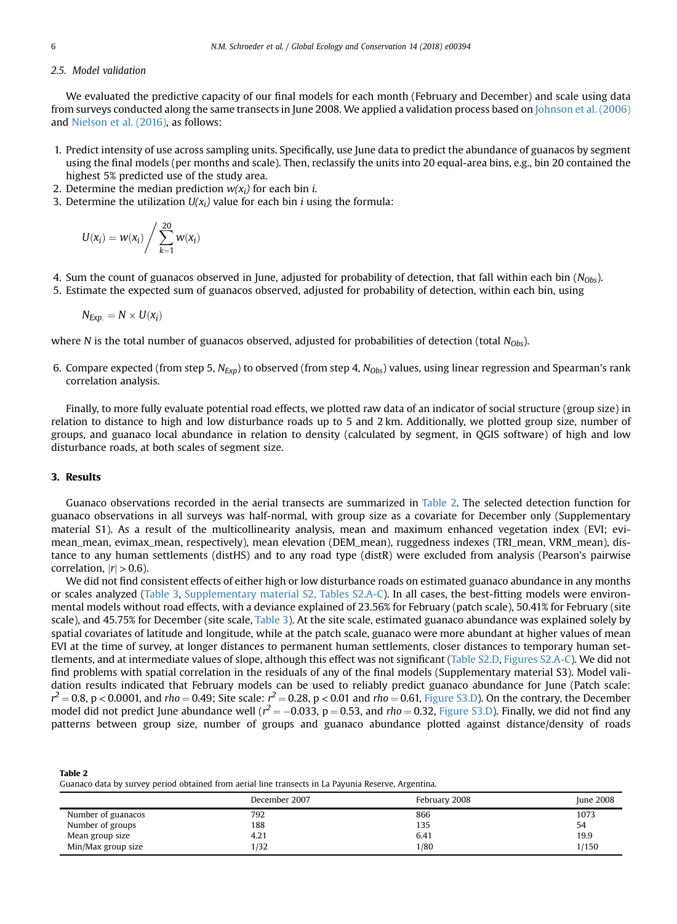### 2.5. Model validation

We evaluated the predictive capacity of our final models for each month (February and December) and scale using data from surveys conducted along the same transects in June 2008. We applied a validation process based on [Johnson et al. \(2006\)](#page-8-0) and [Nielson et al. \(2016\),](#page-9-0) as follows:

- 1. Predict intensity of use across sampling units. Specifically, use June data to predict the abundance of guanacos by segment using the final models (per months and scale). Then, reclassify the units into 20 equal-area bins, e.g., bin 20 contained the highest 5% predicted use of the study area.
- 2. Determine the median prediction  $w(x_i)$  for each bin *i*.
- 3. Determine the utilization  $U(x_i)$  value for each bin *i* using the formula:

$$
U(x_i) = w(x_i) / \sum_{k=1}^{20} w(x_i)
$$

- 4. Sum the count of guanacos observed in June, adjusted for probability of detection, that fall within each bin  $(N_{0b<sub>s</sub>})$ .
- 5. Estimate the expected sum of guanacos observed, adjusted for probability of detection, within each bin, using

$$
N_{Exp.} = N \times U(x_i)
$$

where N is the total number of guanacos observed, adjusted for probabilities of detection (total  $N_{Obs}$ ).

6. Compare expected (from step 5,  $N_{Exp}$ ) to observed (from step 4,  $N_{Obs}$ ) values, using linear regression and Spearman's rank correlation analysis.

Finally, to more fully evaluate potential road effects, we plotted raw data of an indicator of social structure (group size) in relation to distance to high and low disturbance roads up to 5 and 2 km. Additionally, we plotted group size, number of groups, and guanaco local abundance in relation to density (calculated by segment, in QGIS software) of high and low disturbance roads, at both scales of segment size.

#### 3. Results

Guanaco observations recorded in the aerial transects are summarized in Table 2. The selected detection function for guanaco observations in all surveys was half-normal, with group size as a covariate for December only (Supplementary material S1). As a result of the multicollinearity analysis, mean and maximum enhanced vegetation index (EVI; evimean\_mean, evimax\_mean, respectively), mean elevation (DEM\_mean), ruggedness indexes (TRI\_mean, VRM\_mean), distance to any human settlements (distHS) and to any road type (distR) were excluded from analysis (Pearson's pairwise correlation,  $|r| > 0.6$ ).

We did not find consistent effects of either high or low disturbance roads on estimated guanaco abundance in any months or scales analyzed [\(Table 3,](#page-6-0) Supplementary material S2, Tables S2.A-C). In all cases, the best-fitting models were environmental models without road effects, with a deviance explained of 23.56% for February (patch scale), 50.41% for February (site scale), and 45.75% for December (site scale, [Table 3](#page-6-0)). At the site scale, estimated guanaco abundance was explained solely by spatial covariates of latitude and longitude, while at the patch scale, guanaco were more abundant at higher values of mean EVI at the time of survey, at longer distances to permanent human settlements, closer distances to temporary human settlements, and at intermediate values of slope, although this effect was not significant (Table S2.D, Figures S2.A-C). We did not find problems with spatial correlation in the residuals of any of the final models (Supplementary material S3). Model validation results indicated that February models can be used to reliably predict guanaco abundance for June (Patch scale:  $r^2$  = 0.8, p < 0.0001, and rho = 0.49; Site scale:  $r^2$  = 0.28, p < 0.01 and rho = 0.61, Figure S3.D). On the contrary, the December model did not predict June abundance well ( $r^2$  = -0.033, p = 0.53, and rho = 0.32, Figure S3.D). Finally, we did not find any patterns between group size, number of groups and guanaco abundance plotted against distance/density of roads

| Table 2                                                                                             |
|-----------------------------------------------------------------------------------------------------|
| Guanaco data by survey period obtained from aerial line transects in La Payunia Reserve, Argentina. |

|                    | December 2007 | February 2008 | <b>June 2008</b> |
|--------------------|---------------|---------------|------------------|
| Number of guanacos | 792           | 866           | 1073             |
| Number of groups   | 188           | 135           | 54               |
| Mean group size    | 4.21          | 6.41          | 19.9             |
| Min/Max group size | 1/32          | 1/80          | 1/150            |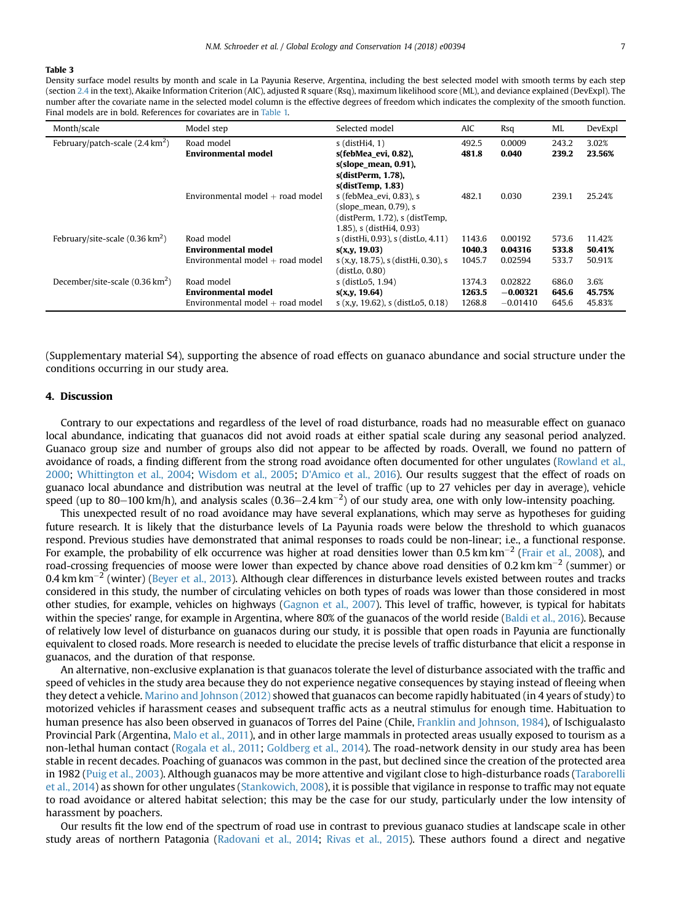#### <span id="page-6-0"></span>Table 3

Density surface model results by month and scale in La Payunia Reserve, Argentina, including the best selected model with smooth terms by each step (section [2.4](#page-3-0) in the text), Akaike Information Criterion (AIC), adjusted R square (Rsq), maximum likelihood score (ML), and deviance explained (DevExpl). The number after the covariate name in the selected model column is the effective degrees of freedom which indicates the complexity of the smooth function. Final models are in bold. References for covariates are in [Table 1.](#page-4-0)

| Month/scale                               | Model step                         | Selected model                      | <b>AIC</b> | Rsq        | ML    | DevExpl |
|-------------------------------------------|------------------------------------|-------------------------------------|------------|------------|-------|---------|
| February/patch-scale $(2.4 \text{ km}^2)$ | Road model                         | $s$ (dist $Hi4, 1$ )                | 492.5      | 0.0009     | 243.2 | 3.02%   |
|                                           | Environmental model                | s(febMea evi, 0.82),                | 481.8      | 0.040      | 239.2 | 23.56%  |
|                                           |                                    | $s(slope mean, 0.91)$ ,             |            |            |       |         |
|                                           |                                    | s(distPerm, 1.78),                  |            |            |       |         |
|                                           |                                    | $s$ (dist $Temp, 1.83$ )            |            |            |       |         |
|                                           | Environmental model $+$ road model | s (febMea_evi, 0.83), s             | 482.1      | 0.030      | 239.1 | 25.24%  |
|                                           |                                    | $(slope_mean, 0.79)$ , s            |            |            |       |         |
|                                           |                                    | (distPerm, 1.72), s (distTemp,      |            |            |       |         |
|                                           |                                    | 1.85), s (distHi4, 0.93)            |            |            |       |         |
| February/site-scale $(0.36 \text{ km}^2)$ | Road model                         | s (distHi, 0.93), s (distLo, 4.11)  | 1143.6     | 0.00192    | 573.6 | 11.42%  |
|                                           | <b>Environmental model</b>         | s(x,y, 19.03)                       | 1040.3     | 0.04316    | 533.8 | 50.41%  |
|                                           | Environmental model $+$ road model | s (x,y, 18.75), s (distHi, 0.30), s | 1045.7     | 0.02594    | 533.7 | 50.91%  |
|                                           |                                    | (distLo, 0.80)                      |            |            |       |         |
| December/site-scale $(0.36 \text{ km}^2)$ | Road model                         | s (distLo5, 1.94)                   | 1374.3     | 0.02822    | 686.0 | 3.6%    |
|                                           | <b>Environmental model</b>         | s(x,y, 19.64)                       | 1263.5     | $-0.00321$ | 645.6 | 45.75%  |
|                                           | Environmental model $+$ road model | $s(x,y, 19.62)$ , s (distLo5, 0.18) | 1268.8     | $-0.01410$ | 645.6 | 45.83%  |

(Supplementary material S4), supporting the absence of road effects on guanaco abundance and social structure under the conditions occurring in our study area.

# 4. Discussion

Contrary to our expectations and regardless of the level of road disturbance, roads had no measurable effect on guanaco local abundance, indicating that guanacos did not avoid roads at either spatial scale during any seasonal period analyzed. Guanaco group size and number of groups also did not appear to be affected by roads. Overall, we found no pattern of avoidance of roads, a finding different from the strong road avoidance often documented for other ungulates [\(Rowland et al.,](#page-9-0) [2000;](#page-9-0) [Whittington et al., 2004;](#page-9-0) [Wisdom et al., 2005;](#page-9-0) [D'Amico et al., 2016\)](#page-8-0). Our results suggest that the effect of roads on guanaco local abundance and distribution was neutral at the level of traffic (up to 27 vehicles per day in average), vehicle speed (up to 80–100 km/h), and analysis scales (0.36–2.4 km<sup>-2</sup>) of our study area, one with only low-intensity poaching.

This unexpected result of no road avoidance may have several explanations, which may serve as hypotheses for guiding future research. It is likely that the disturbance levels of La Payunia roads were below the threshold to which guanacos respond. Previous studies have demonstrated that animal responses to roads could be non-linear; i.e., a functional response. For example, the probability of elk occurrence was higher at road densities lower than 0.5 km km<sup>-2</sup> ([Frair et al., 2008](#page-8-0)), and road-crossing frequencies of moose were lower than expected by chance above road densities of 0.2 km km<sup>-2</sup> (summer) or 0.4 km km<sup>-2</sup> (winter) [\(Beyer et al., 2013](#page-8-0)). Although clear differences in disturbance levels existed between routes and tracks considered in this study, the number of circulating vehicles on both types of roads was lower than those considered in most other studies, for example, vehicles on highways [\(Gagnon et al., 2007](#page-8-0)). This level of traffic, however, is typical for habitats within the species' range, for example in Argentina, where 80% of the guanacos of the world reside [\(Baldi et al., 2016\)](#page-8-0). Because of relatively low level of disturbance on guanacos during our study, it is possible that open roads in Payunia are functionally equivalent to closed roads. More research is needed to elucidate the precise levels of traffic disturbance that elicit a response in guanacos, and the duration of that response.

An alternative, non-exclusive explanation is that guanacos tolerate the level of disturbance associated with the traffic and speed of vehicles in the study area because they do not experience negative consequences by staying instead of fleeing when they detect a vehicle. [Marino and Johnson \(2012\)](#page-9-0) showed that guanacos can become rapidly habituated (in 4 years of study) to motorized vehicles if harassment ceases and subsequent traffic acts as a neutral stimulus for enough time. Habituation to human presence has also been observed in guanacos of Torres del Paine (Chile, [Franklin and Johnson, 1984](#page-8-0)), of Ischigualasto Provincial Park (Argentina, [Malo et al., 2011](#page-9-0)), and in other large mammals in protected areas usually exposed to tourism as a non-lethal human contact [\(Rogala et al., 2011](#page-9-0); [Goldberg et al., 2014](#page-8-0)). The road-network density in our study area has been stable in recent decades. Poaching of guanacos was common in the past, but declined since the creation of the protected area in 1982 [\(Puig et al., 2003](#page-9-0)). Although guanacos may be more attentive and vigilant close to high-disturbance roads [\(Taraborelli](#page-9-0) [et al., 2014](#page-9-0)) as shown for other ungulates ([Stankowich, 2008\)](#page-9-0), it is possible that vigilance in response to traffic may not equate to road avoidance or altered habitat selection; this may be the case for our study, particularly under the low intensity of harassment by poachers.

Our results fit the low end of the spectrum of road use in contrast to previous guanaco studies at landscape scale in other study areas of northern Patagonia [\(Radovani et al., 2014](#page-9-0); [Rivas et al., 2015\)](#page-9-0). These authors found a direct and negative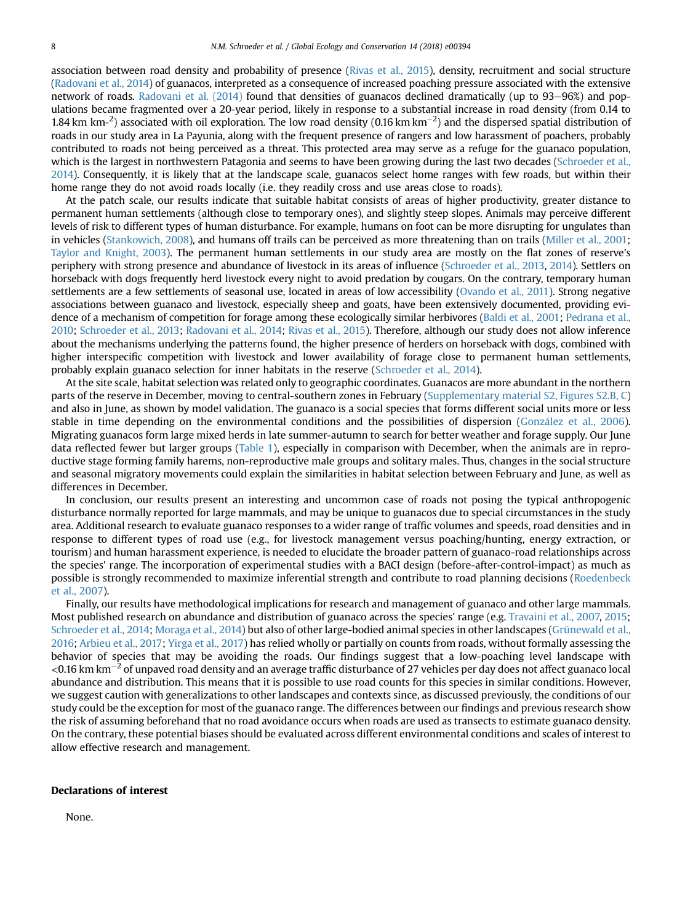association between road density and probability of presence [\(Rivas et al., 2015](#page-9-0)), density, recruitment and social structure [\(Radovani et al., 2014\)](#page-9-0) of guanacos, interpreted as a consequence of increased poaching pressure associated with the extensive network of roads. Radovani et al.  $(2014)$  found that densities of guanacos declined dramatically (up to 93–96%) and populations became fragmented over a 20-year period, likely in response to a substantial increase in road density (from 0.14 to 1.84 km km $^{-2}$ ) associated with oil exploration. The low road density (0.16 km km<sup>-2</sup>) and the dispersed spatial distribution of roads in our study area in La Payunia, along with the frequent presence of rangers and low harassment of poachers, probably contributed to roads not being perceived as a threat. This protected area may serve as a refuge for the guanaco population, which is the largest in northwestern Patagonia and seems to have been growing during the last two decades [\(Schroeder et al.,](#page-9-0) [2014\)](#page-9-0). Consequently, it is likely that at the landscape scale, guanacos select home ranges with few roads, but within their home range they do not avoid roads locally (i.e. they readily cross and use areas close to roads).

At the patch scale, our results indicate that suitable habitat consists of areas of higher productivity, greater distance to permanent human settlements (although close to temporary ones), and slightly steep slopes. Animals may perceive different levels of risk to different types of human disturbance. For example, humans on foot can be more disrupting for ungulates than in vehicles ([Stankowich, 2008](#page-9-0)), and humans off trails can be perceived as more threatening than on trails [\(Miller et al., 2001;](#page-9-0) [Taylor and Knight, 2003\)](#page-9-0). The permanent human settlements in our study area are mostly on the flat zones of reserve's periphery with strong presence and abundance of livestock in its areas of influence [\(Schroeder et al., 2013,](#page-9-0) [2014](#page-9-0)). Settlers on horseback with dogs frequently herd livestock every night to avoid predation by cougars. On the contrary, temporary human settlements are a few settlements of seasonal use, located in areas of low accessibility [\(Ovando et al., 2011\)](#page-9-0). Strong negative associations between guanaco and livestock, especially sheep and goats, have been extensively documented, providing evi-dence of a mechanism of competition for forage among these ecologically similar herbivores [\(Baldi et al., 2001](#page-8-0); [Pedrana et al.,](#page-9-0) [2010;](#page-9-0) [Schroeder et al., 2013](#page-9-0); [Radovani et al., 2014;](#page-9-0) [Rivas et al., 2015](#page-9-0)). Therefore, although our study does not allow inference about the mechanisms underlying the patterns found, the higher presence of herders on horseback with dogs, combined with higher interspecific competition with livestock and lower availability of forage close to permanent human settlements, probably explain guanaco selection for inner habitats in the reserve [\(Schroeder et al., 2014\)](#page-9-0).

At the site scale, habitat selection was related only to geographic coordinates. Guanacos are more abundant in the northern parts of the reserve in December, moving to central-southern zones in February (Supplementary material S2, Figures S2.B, C) and also in June, as shown by model validation. The guanaco is a social species that forms different social units more or less stable in time depending on the environmental conditions and the possibilities of dispersion (González et al., 2006). Migrating guanacos form large mixed herds in late summer-autumn to search for better weather and forage supply. Our June data reflected fewer but larger groups [\(Table 1\)](#page-4-0), especially in comparison with December, when the animals are in reproductive stage forming family harems, non-reproductive male groups and solitary males. Thus, changes in the social structure and seasonal migratory movements could explain the similarities in habitat selection between February and June, as well as differences in December.

In conclusion, our results present an interesting and uncommon case of roads not posing the typical anthropogenic disturbance normally reported for large mammals, and may be unique to guanacos due to special circumstances in the study area. Additional research to evaluate guanaco responses to a wider range of traffic volumes and speeds, road densities and in response to different types of road use (e.g., for livestock management versus poaching/hunting, energy extraction, or tourism) and human harassment experience, is needed to elucidate the broader pattern of guanaco-road relationships across the species' range. The incorporation of experimental studies with a BACI design (before-after-control-impact) as much as possible is strongly recommended to maximize inferential strength and contribute to road planning decisions ([Roedenbeck](#page-9-0) [et al., 2007\)](#page-9-0).

Finally, our results have methodological implications for research and management of guanaco and other large mammals. Most published research on abundance and distribution of guanaco across the species' range (e.g. [Travaini et al., 2007,](#page-9-0) [2015;](#page-9-0) [Schroeder et al., 2014](#page-9-0); [Moraga et al., 2014](#page-9-0)) but also of other large-bodied animal species in other landscapes [\(Grünewald et al.,](#page-8-0) [2016](#page-8-0); [Arbieu et al., 2017;](#page-8-0) [Yirga et al., 2017](#page-10-0)) has relied wholly or partially on counts from roads, without formally assessing the behavior of species that may be avoiding the roads. Our findings suggest that a low-poaching level landscape with <0.16 km km<sup>-2</sup> of unpaved road density and an average traffic disturbance of 27 vehicles per day does not affect guanaco local abundance and distribution. This means that it is possible to use road counts for this species in similar conditions. However, we suggest caution with generalizations to other landscapes and contexts since, as discussed previously, the conditions of our study could be the exception for most of the guanaco range. The differences between our findings and previous research show the risk of assuming beforehand that no road avoidance occurs when roads are used as transects to estimate guanaco density. On the contrary, these potential biases should be evaluated across different environmental conditions and scales of interest to allow effective research and management.

#### Declarations of interest

None.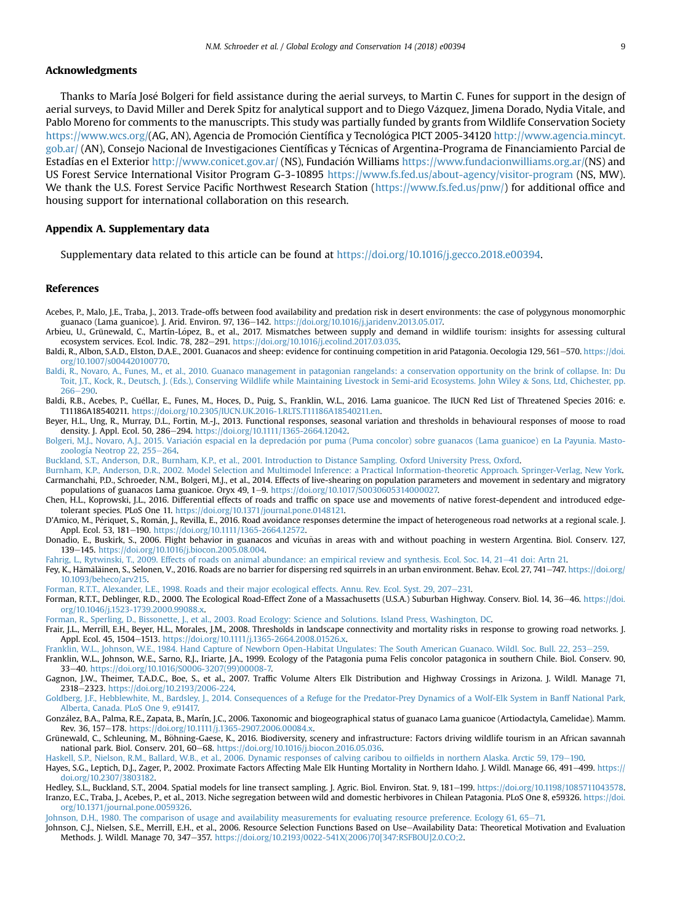#### <span id="page-8-0"></span>Acknowledgments

Thanks to María Jose Bolgeri for field assistance during the aerial surveys, to Martin C. Funes for support in the design of aerial surveys, to David Miller and Derek Spitz for analytical support and to Diego V azquez, Jimena Dorado, Nydia Vitale, and Pablo Moreno for comments to the manuscripts. This study was partially funded by grants from Wildlife Conservation Society <https://www.wcs.org/>(AG, AN), Agencia de Promoción Científica y Tecnológica PICT 2005-34120 [http://www.agencia.mincyt.](http://www.agencia.mincyt.gob.ar/) [gob.ar/](http://www.agencia.mincyt.gob.ar/) (AN), Consejo Nacional de Investigaciones Científicas y Tecnicas of Argentina-Programa de Financiamiento Parcial de Estadías en el Exterior <http://www.conicet.gov.ar/> (NS), Fundacion Williams <https://www.fundacionwilliams.org.ar/>(NS) and US Forest Service International Visitor Program G-3-10895 <https://www.fs.fed.us/about-agency/visitor-program> (NS, MW). We thank the U.S. Forest Service Pacific Northwest Research Station ([https://www.fs.fed.us/pnw/\)](https://www.fs.fed.us/pnw/) for additional office and housing support for international collaboration on this research.

#### Appendix A. Supplementary data

Supplementary data related to this article can be found at [https://doi.org/10.1016/j.gecco.2018.e00394.](https://doi.org/10.1016/j.gecco.2018.e00394)

#### References

- Acebes, P., Malo, J.E., Traba, J., 2013. Trade-offs between food availability and predation risk in desert environments: the case of polygynous monomorphic guanaco (Lama guanicoe). J. Arid. Environ. 97, 136–142. [https://doi.org/10.1016/j.jaridenv.2013.05.017.](https://doi.org/10.1016/j.jaridenv.2013.05.017)
- Arbieu, U., Grünewald, C., Martín-Lopez, B., et al., 2017. Mismatches between supply and demand in wildlife tourism: insights for assessing cultural ecosystem services. Ecol. Indic. 78, 282-291. [https://doi.org/10.1016/j.ecolind.2017.03.035.](https://doi.org/10.1016/j.ecolind.2017.03.035)
- Baldi, R., Albon, S.A.D., Elston, D.A.E., 2001. Guanacos and sheep: evidence for continuing competition in arid Patagonia. Oecologia 129, 561-570. [https://doi.](https://doi.org/10.1007/s004420100770) [org/10.1007/s004420100770.](https://doi.org/10.1007/s004420100770)
- [Baldi, R., Novaro, A., Funes, M., et al., 2010. Guanaco management in patagonian rangelands: a conservation opportunity on the brink of collapse. In:](http://refhub.elsevier.com/S2351-9894(18)30016-7/sref4) Du [Toit, J.T., Kock, R., Deutsch, J. \(Eds.\), Conserving Wildlife while Maintaining Livestock in Semi-arid Ecosystems. John Wiley](http://refhub.elsevier.com/S2351-9894(18)30016-7/sref4) & [Sons, Ltd, Chichester, pp.](http://refhub.elsevier.com/S2351-9894(18)30016-7/sref4)  $266 - 290$  $266 - 290$
- Baldi, R.B., Acebes, P., Cuellar, E., Funes, M., Hoces, D., Puig, S., Franklin, W.L., 2016. Lama guanicoe. The IUCN Red List of Threatened Species 2016: e. T11186A18540211. [https://doi.org/10.2305/IUCN.UK.2016-1.RLTS.T11186A18540211.en.](https://doi.org/10.2305/IUCN.UK.2016-1.RLTS.T11186A18540211.en)
- Beyer, H.L., Ung, R., Murray, D.L., Fortin, M.-J., 2013. Functional responses, seasonal variation and thresholds in behavioural responses of moose to road density. J. Appl. Ecol. 50, 286-294. <https://doi.org/10.1111/1365-2664.12042>.
- Bolgeri, M.J., Novaro, A.J., 2015. Variación espacial en la depredación por puma (Puma concolor) sobre guanacos (Lama guanicoe) en La Payunia. Masto[zoología Neotrop 22, 255](http://refhub.elsevier.com/S2351-9894(18)30016-7/sref7) $-264$  $-264$ .
- [Buckland, S.T., Anderson, D.R., Burnham, K.P., et al., 2001. Introduction to Distance Sampling. Oxford University Press, Oxford.](http://refhub.elsevier.com/S2351-9894(18)30016-7/sref8)
- [Burnham, K.P., Anderson, D.R., 2002. Model Selection and Multimodel Inference: a Practical Information-theoretic Approach. Springer-Verlag, New York](http://refhub.elsevier.com/S2351-9894(18)30016-7/sref9). Carmanchahi, P.D., Schroeder, N.M., Bolgeri, M.J., et al., 2014. Effects of live-shearing on population parameters and movement in sedentary and migratory populations of guanacos Lama guanicoe. Oryx 49, 1-9. [https://doi.org/10.1017/S0030605314000027.](https://doi.org/10.1017/S0030605314000027)
- Chen, H.L., Koprowski, J.L., 2016. Differential effects of roads and traffic on space use and movements of native forest-dependent and introduced edgetolerant species. PLoS One 11. [https://doi.org/10.1371/journal.pone.0148121.](https://doi.org/10.1371/journal.pone.0148121)
- D'Amico, M., Périquet, S., Román, J., Revilla, E., 2016. Road avoidance responses determine the impact of heterogeneous road networks at a regional scale. J. Appl. Ecol. 53, 181-190. <https://doi.org/10.1111/1365-2664.12572>.
- Donadio, E., Buskirk, S., 2006. Flight behavior in guanacos and vicunas in areas with and without poaching in western Argentina. Biol. Conserv. 127, ~ 139-145. [https://doi.org/10.1016/j.biocon.2005.08.004.](https://doi.org/10.1016/j.biocon.2005.08.004)
- [Fahrig, L., Rytwinski, T., 2009. Effects of roads on animal abundance: an empirical review and synthesis. Ecol. Soc. 14, 21](http://refhub.elsevier.com/S2351-9894(18)30016-7/sref14)-[41 doi: Artn 21.](http://refhub.elsevier.com/S2351-9894(18)30016-7/sref14)
- Fey, K., Hämäläinen, S., Selonen, V., 2016. Roads are no barrier for dispersing red squirrels in an urban environment. Behav. Ecol. 27, 741 747. [https://doi.org/](https://doi.org/10.1093/beheco/arv215) [10.1093/beheco/arv215](https://doi.org/10.1093/beheco/arv215).

[Forman, R.T.T., Alexander, L.E., 1998. Roads and their major ecological effects. Annu. Rev. Ecol. Syst. 29, 207](http://refhub.elsevier.com/S2351-9894(18)30016-7/sref16)-[231.](http://refhub.elsevier.com/S2351-9894(18)30016-7/sref16)

- Forman, R.T.T., Deblinger, R.D., 2000. The Ecological Road-Effect Zone of a Massachusetts (U.S.A.) Suburban Highway. Conserv. Biol. 14, 36-46. [https://doi.](https://doi.org/10.1046/j.1523-1739.2000.99088.x) [org/10.1046/j.1523-1739.2000.99088.x](https://doi.org/10.1046/j.1523-1739.2000.99088.x).
- [Forman, R., Sperling, D., Bissonette, J., et al., 2003. Road Ecology: Science and Solutions. Island Press, Washington, DC.](http://refhub.elsevier.com/S2351-9894(18)30016-7/sref18)
- Frair, J.L., Merrill, E.H., Beyer, H.L., Morales, J.M., 2008. Thresholds in landscape connectivity and mortality risks in response to growing road networks. J. Appl. Ecol. 45, 1504-1513. <https://doi.org/10.1111/j.1365-2664.2008.01526.x>.
- [Franklin, W.L., Johnson, W.E., 1984. Hand Capture of Newborn Open-Habitat Ungulates: The South American Guanaco. Wildl. Soc. Bull. 22, 253](http://refhub.elsevier.com/S2351-9894(18)30016-7/sref20)-[259](http://refhub.elsevier.com/S2351-9894(18)30016-7/sref20).
- Franklin, W.L., Johnson, W.E., Sarno, R.J., Iriarte, J.A., 1999. Ecology of the Patagonia puma Felis concolor patagonica in southern Chile. Biol. Conserv. 90, 33e40. [https://doi.org/10.1016/S0006-3207\(99\)00008-7.](https://doi.org/10.1016/S0006-3207(99)00008-7)
- Gagnon, J.W., Theimer, T.A.D.C., Boe, S., et al., 2007. Traffic Volume Alters Elk Distribution and Highway Crossings in Arizona. J. Wildl. Manage 71, 2318-2323. [https://doi.org/10.2193/2006-224.](https://doi.org/10.2193/2006-224)
- [Goldberg, J.F., Hebblewhite, M., Bardsley, J., 2014. Consequences of a Refuge for the Predator-Prey Dynamics of a Wolf-Elk System in Banff National Park,](http://refhub.elsevier.com/S2351-9894(18)30016-7/sref23) [Alberta, Canada. PLoS One 9, e91417.](http://refhub.elsevier.com/S2351-9894(18)30016-7/sref23)
- González, B.A., Palma, R.E., Zapata, B., Marín, J.C., 2006. Taxonomic and biogeographical status of guanaco Lama guanicoe (Artiodactyla, Camelidae). Mamm. Rev. 36, 157-178. [https://doi.org/10.1111/j.1365-2907.2006.00084.x.](https://doi.org/10.1111/j.1365-2907.2006.00084.x)
- Grünewald, C., Schleuning, M., Böhning-Gaese, K., 2016. Biodiversity, scenery and infrastructure: Factors driving wildlife tourism in an African savannah national park. Biol. Conserv. 201, 60-68. [https://doi.org/10.1016/j.biocon.2016.05.036.](https://doi.org/10.1016/j.biocon.2016.05.036)

[Haskell, S.P., Nielson, R.M., Ballard, W.B., et al., 2006. Dynamic responses of calving caribou to oil](http://refhub.elsevier.com/S2351-9894(18)30016-7/sref26)fields in northern Alaska. Arctic 59, 179–[190](http://refhub.elsevier.com/S2351-9894(18)30016-7/sref26).

- Hayes, S.G., Leptich, D.J., Zager, P., 2002. Proximate Factors Affecting Male Elk Hunting Mortality in Northern Idaho. J. Wildl. Manage 66, 491-499. [https://](https://doi.org/10.2307/3803182) [doi.org/10.2307/3803182](https://doi.org/10.2307/3803182).
- Hedley, S.L., Buckland, S.T., 2004. Spatial models for line transect sampling. J. Agric. Biol. Environ. Stat. 9, 181-199. [https://doi.org/10.1198/1085711043578.](https://doi.org/10.1198/1085711043578) Iranzo, E.C., Traba, J., Acebes, P., et al., 2013. Niche segregation between wild and domestic herbivores in Chilean Patagonia. PLoS One 8, e59326. [https://doi.](https://doi.org/10.1371/journal.pone.0059326) [org/10.1371/journal.pone.0059326.](https://doi.org/10.1371/journal.pone.0059326)

[Johnson, D.H., 1980. The comparison of usage and availability measurements for evaluating resource preference. Ecology 61, 65](http://refhub.elsevier.com/S2351-9894(18)30016-7/sref30)-[71.](http://refhub.elsevier.com/S2351-9894(18)30016-7/sref30)

Johnson, C.J., Nielsen, S.E., Merrill, E.H., et al., 2006. Resource Selection Functions Based on Use-Availability Data: Theoretical Motivation and Evaluation Methods. J. Wildl. Manage 70, 347-357. [https://doi.org/10.2193/0022-541X\(2006\)70\[347:RSFBOU\]2.0.CO;2.](https://doi.org/10.2193/0022-541X(2006)70[347:RSFBOU]2.0.CO;2)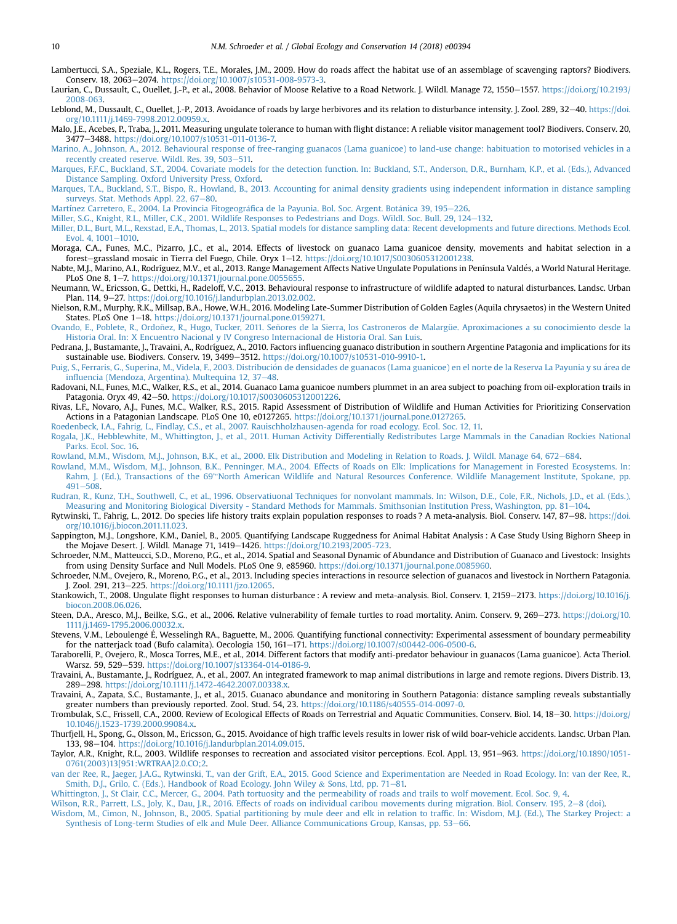<span id="page-9-0"></span>Lambertucci, S.A., Speziale, K.L., Rogers, T.E., Morales, J.M., 2009. How do roads affect the habitat use of an assemblage of scavenging raptors? Biodivers. Conserv. 18, 2063-2074. [https://doi.org/10.1007/s10531-008-9573-3.](https://doi.org/10.1007/s10531-008-9573-3)

Laurian, C., Dussault, C., Ouellet, I.-P., et al., 2008. Behavior of Moose Relative to a Road Network. I. Wildl. Manage 72, 1550-1557. [https://doi.org/10.2193/](https://doi.org/10.2193/2008-063) [2008-063.](https://doi.org/10.2193/2008-063)

Leblond, M., Dussault, C., Ouellet, J.-P., 2013. Avoidance of roads by large herbivores and its relation to disturbance intensity. J. Zool. 289, 32-40. [https://doi.](https://doi.org/10.1111/j.1469-7998.2012.00959.x) [org/10.1111/j.1469-7998.2012.00959.x.](https://doi.org/10.1111/j.1469-7998.2012.00959.x)

Malo, J.E., Acebes, P., Traba, J., 2011. Measuring ungulate tolerance to human with flight distance: A reliable visitor management tool? Biodivers. Conserv. 20, 3477e3488. [https://doi.org/10.1007/s10531-011-0136-7.](https://doi.org/10.1007/s10531-011-0136-7)

[Marino, A., Johnson, A., 2012. Behavioural response of free-ranging guanacos \(Lama guanicoe\) to land-use change: habituation to motorised vehicles in a](http://refhub.elsevier.com/S2351-9894(18)30016-7/sref36) [recently created reserve. Wildl. Res. 39, 503](http://refhub.elsevier.com/S2351-9894(18)30016-7/sref36)-[511.](http://refhub.elsevier.com/S2351-9894(18)30016-7/sref36)

[Marques, F.F.C., Buckland, S.T., 2004. Covariate models for the detection function. In: Buckland, S.T., Anderson, D.R., Burnham, K.P., et al. \(Eds.\), Advanced](http://refhub.elsevier.com/S2351-9894(18)30016-7/sref37) [Distance Sampling. Oxford University Press, Oxford](http://refhub.elsevier.com/S2351-9894(18)30016-7/sref37).

[Marques, T.A., Buckland, S.T., Bispo, R., Howland, B., 2013. Accounting for animal density gradients using independent information in distance sampling](http://refhub.elsevier.com/S2351-9894(18)30016-7/sref38) [surveys. Stat. Methods Appl. 22, 67](http://refhub.elsevier.com/S2351-9894(18)30016-7/sref38)-[80.](http://refhub.elsevier.com/S2351-9894(18)30016-7/sref38)

[Martínez Carretero, E., 2004. La Provincia Fitogeogr](http://refhub.elsevier.com/S2351-9894(18)30016-7/sref39)áfi[ca de la Payunia. Bol. Soc. Argent. Bot](http://refhub.elsevier.com/S2351-9894(18)30016-7/sref39)á[nica 39, 195](http://refhub.elsevier.com/S2351-9894(18)30016-7/sref39)–[226.](http://refhub.elsevier.com/S2351-9894(18)30016-7/sref39)

[Miller, S.G., Knight, R.L., Miller, C.K., 2001. Wildlife Responses to Pedestrians and Dogs. Wildl. Soc. Bull. 29, 124](http://refhub.elsevier.com/S2351-9894(18)30016-7/sref40)–[132.](http://refhub.elsevier.com/S2351-9894(18)30016-7/sref40)

[Miller, D.L., Burt, M.L., Rexstad, E.A., Thomas, L., 2013. Spatial models for distance sampling data: Recent developments and future directions. Methods Ecol.](http://refhub.elsevier.com/S2351-9894(18)30016-7/sref41) [Evol. 4, 1001](http://refhub.elsevier.com/S2351-9894(18)30016-7/sref41)-[1010.](http://refhub.elsevier.com/S2351-9894(18)30016-7/sref41)

Moraga, C.A., Funes, M.C., Pizarro, J.C., et al., 2014. Effects of livestock on guanaco Lama guanicoe density, movements and habitat selection in a forest-grassland mosaic in Tierra del Fuego, Chile. Oryx 1-12. https://doi.org/10.1017/S0030605312001238

Nabte, M.J., Marino, A.I., Rodríguez, M.V., et al., 2013. Range Management Affects Native Ungulate Populations in Península Valdes, a World Natural Heritage. PLoS One 8, 1-7. <https://doi.org/10.1371/journal.pone.0055655>.

Neumann, W., Ericsson, G., Dettki, H., Radeloff, V.C., 2013. Behavioural response to infrastructure of wildlife adapted to natural disturbances. Landsc. Urban Plan. 114, 9-27. <https://doi.org/10.1016/j.landurbplan.2013.02.002>.

Nielson, R.M., Murphy, R.K., Millsap, B.A., Howe, W.H., 2016. Modeling Late-Summer Distribution of Golden Eagles (Aquila chrysaetos) in the Western United States. PLoS One 1-18. [https://doi.org/10.1371/journal.pone.0159271.](https://doi.org/10.1371/journal.pone.0159271)

Ovando, E., Poblete, R., Ordoñez, R., Hugo, Tucker, 2011. Señ[ores de la Sierra, los Castroneros de Malargüe. Aproximaciones a su conocimiento desde la](http://refhub.elsevier.com/S2351-9894(18)30016-7/sref46) [Historia Oral. In: X Encuentro Nacional y IV Congreso Internacional de Historia Oral. San Luis.](http://refhub.elsevier.com/S2351-9894(18)30016-7/sref46)

Pedrana, J., Bustamante, J., Travaini, A., Rodríguez, A., 2010. Factors influencing guanaco distribution in southern Argentine Patagonia and implications for its sustainable use. Biodivers. Conserv. 19, 3499-3512. [https://doi.org/10.1007/s10531-010-9910-1.](https://doi.org/10.1007/s10531-010-9910-1)

[Puig, S., Ferraris, G., Superina, M., Videla, F., 2003. Distribucion de densidades de guanacos \(Lama guanicoe\) en el norte de la Reserva La Payunia y su](http://refhub.elsevier.com/S2351-9894(18)30016-7/sref48) a[rea de](http://refhub.elsevier.com/S2351-9894(18)30016-7/sref48) infl[uencia \(Mendoza, Argentina\). Multequina 12, 37](http://refhub.elsevier.com/S2351-9894(18)30016-7/sref48)-[48.](http://refhub.elsevier.com/S2351-9894(18)30016-7/sref48)

Radovani, N.I., Funes, M.C., Walker, R.S., et al., 2014. Guanaco Lama guanicoe numbers plummet in an area subject to poaching from oil-exploration trails in Patagonia. Oryx 49, 42-50. <https://doi.org/10.1017/S0030605312001226>.

Rivas, L.F., Novaro, A.J., Funes, M.C., Walker, R.S., 2015. Rapid Assessment of Distribution of Wildlife and Human Activities for Prioritizing Conservation Actions in a Patagonian Landscape. PLoS One 10, e0127265. <https://doi.org/10.1371/journal.pone.0127265>.

[Roedenbeck, I.A., Fahrig, L., Findlay, C.S., et al., 2007. Rauischholzhausen-agenda for road ecology. Ecol. Soc. 12, 11.](http://refhub.elsevier.com/S2351-9894(18)30016-7/sref51)

[Rogala, J.K., Hebblewhite, M., Whittington, J., et al., 2011. Human Activity Differentially Redistributes Large Mammals in the Canadian Rockies National](http://refhub.elsevier.com/S2351-9894(18)30016-7/sref52) [Parks. Ecol. Soc. 16](http://refhub.elsevier.com/S2351-9894(18)30016-7/sref52).

[Rowland, M.M., Wisdom, M.J., Johnson, B.K., et al., 2000. Elk Distribution and Modeling in Relation to Roads. J. Wildl. Manage 64, 672](http://refhub.elsevier.com/S2351-9894(18)30016-7/sref53)–[684](http://refhub.elsevier.com/S2351-9894(18)30016-7/sref53).<br>Rowland, M.M., Wisdom, M.J., Johnson, B.K., Penninger, M.A., 2004. Effects of Road Rahm, J. (Ed.), Transactions of the 69'"[North American Wildlife and Natural Resources Conference. Wildlife Management Institute, Spokane, pp.](http://refhub.elsevier.com/S2351-9894(18)30016-7/sref54)  $491 - 508.$  $491 - 508.$  $491 - 508.$  $491 - 508.$ 

[Rudran, R., Kunz, T.H., Southwell, C., et al., 1996. Observatiuonal Techniques for nonvolant mammals. In: Wilson, D.E., Cole, F.R., Nichols, J.D., et al. \(Eds.\),](http://refhub.elsevier.com/S2351-9894(18)30016-7/sref55) [Measuring and Monitoring Biological Diversity - Standard Methods for Mammals. Smithsonian Institution Press, Washington, pp. 81](http://refhub.elsevier.com/S2351-9894(18)30016-7/sref55)–[104](http://refhub.elsevier.com/S2351-9894(18)30016-7/sref55).

Rytwinski, T., Fahrig, L., 2012. Do species life history traits explain population responses to roads ? A meta-analysis. Biol. Conserv. 147, 87–98. [https://doi.](https://doi.org/10.1016/j.biocon.2011.11.023) [org/10.1016/j.biocon.2011.11.023](https://doi.org/10.1016/j.biocon.2011.11.023).

Sappington, M.J., Longshore, K.M., Daniel, B., 2005. Quantifying Landscape Ruggedness for Animal Habitat Analysis : A Case Study Using Bighorn Sheep in the Mojave Desert. J. Wildl. Manage 71, 1419-1426. <https://doi.org/10.2193/2005-723>.

Schroeder, N.M., Matteucci, S.D., Moreno, P.G., et al., 2014. Spatial and Seasonal Dynamic of Abundance and Distribution of Guanaco and Livestock: Insights from using Density Surface and Null Models. PLoS One 9, e85960. [https://doi.org/10.1371/journal.pone.0085960.](https://doi.org/10.1371/journal.pone.0085960)

Schroeder, N.M., Ovejero, R., Moreno, P.G., et al., 2013. Including species interactions in resource selection of guanacos and livestock in Northern Patagonia. J. Zool. 291, 213-225. <https://doi.org/10.1111/jzo.12065>.

Stankowich, T., 2008. Ungulate flight responses to human disturbance : A review and meta-analysis. Biol. Conserv. 1, 2159-2173. [https://doi.org/10.1016/j.](https://doi.org/10.1016/j.biocon.2008.06.026) [biocon.2008.06.026](https://doi.org/10.1016/j.biocon.2008.06.026).

Steen, D.A., Aresco, M.J., Beilke, S.G., et al., 2006. Relative vulnerability of female turtles to road mortality. Anim. Conserv. 9, 269-273. [https://doi.org/10.](https://doi.org/10.1111/j.1469-1795.2006.00032.x) [1111/j.1469-1795.2006.00032.x.](https://doi.org/10.1111/j.1469-1795.2006.00032.x)

Stevens, V.M., Leboulenge E, Wesselingh RA., Baguette, M., 2006. Quantifying functional connectivity: Experimental assessment of boundary permeability for the natterjack toad (Bufo calamita). Oecologia 150, 161-171. [https://doi.org/10.1007/s00442-006-0500-6.](https://doi.org/10.1007/s00442-006-0500-6)

Taraborelli, P., Ovejero, R., Mosca Torres, M.E., et al., 2014. Different factors that modify anti-predator behaviour in guanacos (Lama guanicoe). Acta Theriol. Warsz. 59, 529-539. <https://doi.org/10.1007/s13364-014-0186-9>

Travaini, A., Bustamante, J., Rodríguez, A., et al., 2007. An integrated framework to map animal distributions in large and remote regions. Divers Distrib. 13, 289-298. [https://doi.org/10.1111/j.1472-4642.2007.00338.x.](https://doi.org/10.1111/j.1472-4642.2007.00338.x)

Travaini, A., Zapata, S.C., Bustamante, J., et al., 2015. Guanaco abundance and monitoring in Southern Patagonia: distance sampling reveals substantially greater numbers than previously reported. Zool. Stud. 54, 23. <https://doi.org/10.1186/s40555-014-0097-0>.

Trombulak, S.C., Frissell, C.A., 2000. Review of Ecological Effects of Roads on Terrestrial and Aquatic Communities. Conserv. Biol. 14, 18-30. [https://doi.org/](https://doi.org/10.1046/j.1523-1739.2000.99084.x) [10.1046/j.1523-1739.2000.99084.x](https://doi.org/10.1046/j.1523-1739.2000.99084.x).

Thurfjell, H., Spong, G., Olsson, M., Ericsson, G., 2015. Avoidance of high traffic levels results in lower risk of wild boar-vehicle accidents. Landsc. Urban Plan. 133, 98-104. [https://doi.org/10.1016/j.landurbplan.2014.09.015.](https://doi.org/10.1016/j.landurbplan.2014.09.015)

Taylor, A.R., Knight, R.L., 2003. Wildlife responses to recreation and associated visitor perceptions. Ecol. Appl. 13, 951-963. [https://doi.org/10.1890/1051-](https://doi.org/10.1890/1051-0761(2003)13[951:WRTRAA]2.0.CO;2) [0761\(2003\)13\[951:WRTRAA\]2.0.CO;2.](https://doi.org/10.1890/1051-0761(2003)13[951:WRTRAA]2.0.CO;2)

[van der Ree, R., Jaeger, J.A.G., Rytwinski, T., van der Grift, E.A., 2015. Good Science and Experimentation are Needed in Road Ecology. In: van der Ree,](http://refhub.elsevier.com/S2351-9894(18)30016-7/sref69) R., [Smith, D.J., Grilo, C. \(Eds.\), Handbook of Road Ecology. John Wiley](http://refhub.elsevier.com/S2351-9894(18)30016-7/sref69) & [Sons, Ltd, pp. 71](http://refhub.elsevier.com/S2351-9894(18)30016-7/sref69)-[81.](http://refhub.elsevier.com/S2351-9894(18)30016-7/sref69)

[Whittington, J., St Clair, C.C., Mercer, G., 2004. Path tortuosity and the permeability of roads and trails to wolf movement. Ecol. Soc. 9, 4](http://refhub.elsevier.com/S2351-9894(18)30016-7/sref70).

[Wilson, R.R., Parrett, L.S., Joly, K., Dau, J.R., 2016. Effects of roads on individual caribou movements during migration. Biol. Conserv. 195, 2](http://refhub.elsevier.com/S2351-9894(18)30016-7/sref71)-[8 \(doi\)](http://refhub.elsevier.com/S2351-9894(18)30016-7/sref71).

[Wisdom, M., Cimon, N., Johnson, B., 2005. Spatial partitioning by mule deer and elk in relation to traf](http://refhub.elsevier.com/S2351-9894(18)30016-7/sref72)fic. In: Wisdom, M.J. (Ed.), The Starkey Project: a [Synthesis of Long-term Studies of elk and Mule Deer. Alliance Communications Group, Kansas, pp. 53](http://refhub.elsevier.com/S2351-9894(18)30016-7/sref72)-[66](http://refhub.elsevier.com/S2351-9894(18)30016-7/sref72).